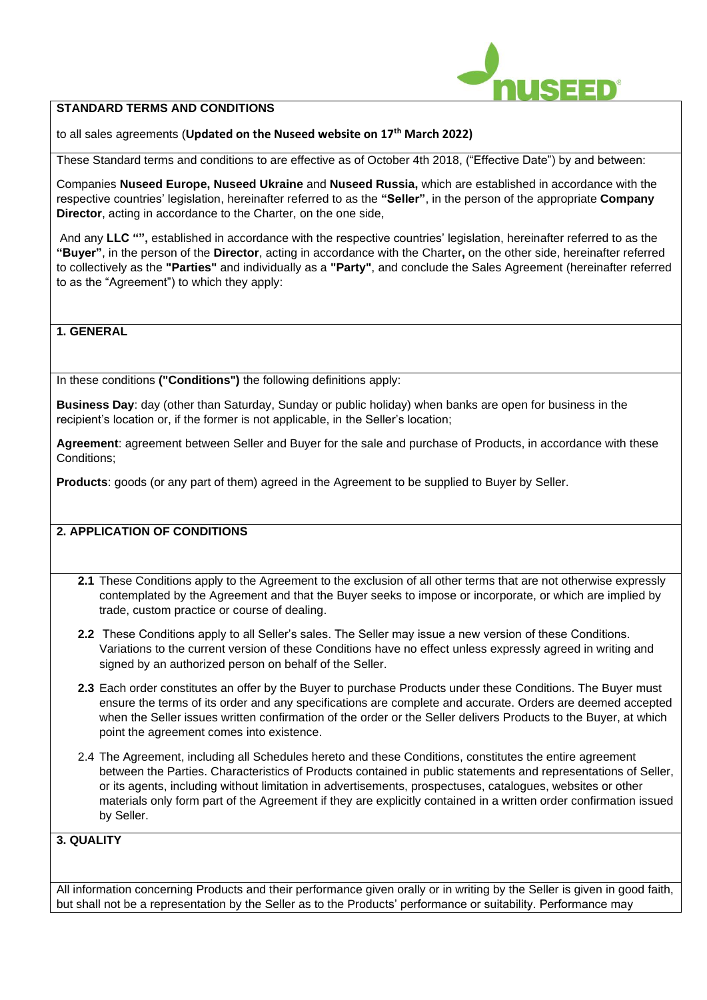

#### **STANDARD TERMS AND CONDITIONS**

to all sales agreements (**Updated on the Nuseed website on 17th March 2022)**

These Standard terms and conditions to are effective as of October 4th 2018, ("Effective Date") by and between:

Companies **Nuseed Europe, Nuseed Ukraine** and **Nuseed Russia,** which are established in accordance with the respective countries' legislation, hereinafter referred to as the **"Seller"**, in the person of the appropriate **Company Director**, acting in accordance to the Charter, on the one side,

And any **LLC "",** established in accordance with the respective countries' legislation, hereinafter referred to as the **"Buyer"**, in the person of the **Director**, acting in accordance with the Charter**,** on the other side, hereinafter referred to collectively as the **"Parties"** and individually as a **"Party"**, and conclude the Sales Agreement (hereinafter referred to as the "Agreement") to which they apply:

#### **1. GENERAL**

In these conditions **("Conditions")** the following definitions apply:

**Business Day**: day (other than Saturday, Sunday or public holiday) when banks are open for business in the recipient's location or, if the former is not applicable, in the Seller's location;

**Agreement**: agreement between Seller and Buyer for the sale and purchase of Products, in accordance with these Conditions;

**Products**: goods (or any part of them) agreed in the Agreement to be supplied to Buyer by Seller.

# **2. APPLICATION OF CONDITIONS**

- **2.1** These Conditions apply to the Agreement to the exclusion of all other terms that are not otherwise expressly contemplated by the Agreement and that the Buyer seeks to impose or incorporate, or which are implied by trade, custom practice or course of dealing.
- **2.2** These Conditions apply to all Seller's sales. The Seller may issue a new version of these Conditions. Variations to the current version of these Conditions have no effect unless expressly agreed in writing and signed by an authorized person on behalf of the Seller.
- **2.3** Each order constitutes an offer by the Buyer to purchase Products under these Conditions. The Buyer must ensure the terms of its order and any specifications are complete and accurate. Orders are deemed accepted when the Seller issues written confirmation of the order or the Seller delivers Products to the Buyer, at which point the agreement comes into existence.
- 2.4 The Agreement, including all Schedules hereto and these Conditions, constitutes the entire agreement between the Parties. Characteristics of Products contained in public statements and representations of Seller, or its agents, including without limitation in advertisements, prospectuses, catalogues, websites or other materials only form part of the Agreement if they are explicitly contained in a written order confirmation issued by Seller.

### **3. QUALITY**

All information concerning Products and their performance given orally or in writing by the Seller is given in good faith, but shall not be a representation by the Seller as to the Products' performance or suitability. Performance may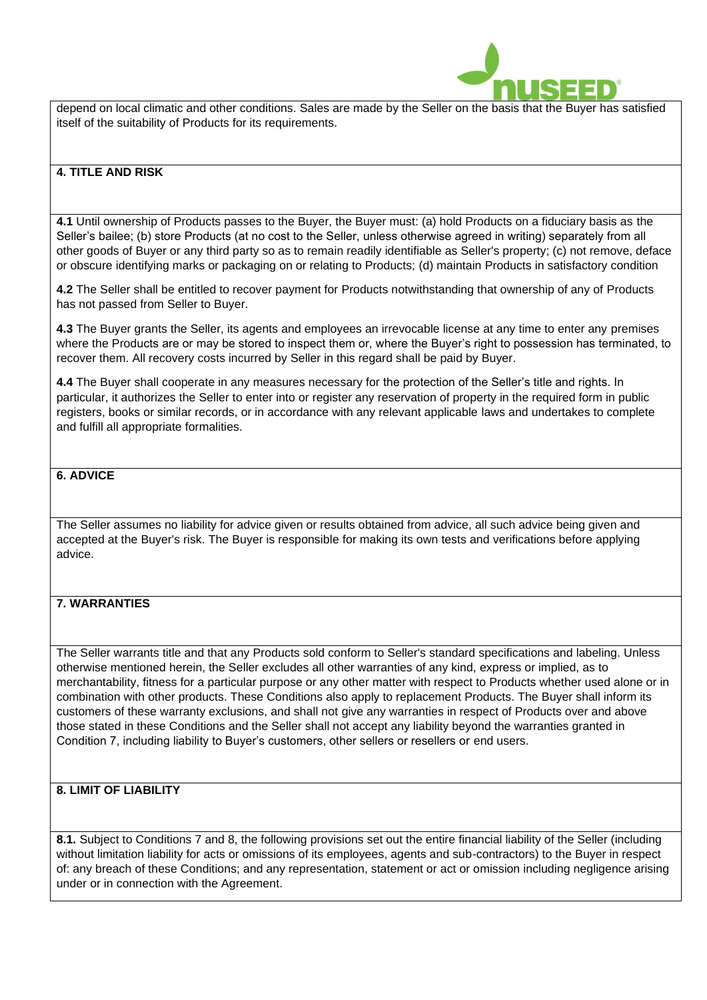

depend on local climatic and other conditions. Sales are made by the Seller on the basis that the Buyer has satisfied itself of the suitability of Products for its requirements.

#### **4. TITLE AND RISK**

**4.1** Until ownership of Products passes to the Buyer, the Buyer must: (a) hold Products on a fiduciary basis as the Seller's bailee; (b) store Products (at no cost to the Seller, unless otherwise agreed in writing) separately from all other goods of Buyer or any third party so as to remain readily identifiable as Seller's property; (c) not remove, deface or obscure identifying marks or packaging on or relating to Products; (d) maintain Products in satisfactory condition

**4.2** The Seller shall be entitled to recover payment for Products notwithstanding that ownership of any of Products has not passed from Seller to Buyer.

**4.3** The Buyer grants the Seller, its agents and employees an irrevocable license at any time to enter any premises where the Products are or may be stored to inspect them or, where the Buyer's right to possession has terminated, to recover them. All recovery costs incurred by Seller in this regard shall be paid by Buyer.

**4.4** The Buyer shall cooperate in any measures necessary for the protection of the Seller's title and rights. In particular, it authorizes the Seller to enter into or register any reservation of property in the required form in public registers, books or similar records, or in accordance with any relevant applicable laws and undertakes to complete and fulfill all appropriate formalities.

### **6. ADVICE**

The Seller assumes no liability for advice given or results obtained from advice, all such advice being given and accepted at the Buyer's risk. The Buyer is responsible for making its own tests and verifications before applying advice.

### **7. WARRANTIES**

The Seller warrants title and that any Products sold conform to Seller's standard specifications and labeling. Unless otherwise mentioned herein, the Seller excludes all other warranties of any kind, express or implied, as to merchantability, fitness for a particular purpose or any other matter with respect to Products whether used alone or in combination with other products. These Conditions also apply to replacement Products. The Buyer shall inform its customers of these warranty exclusions, and shall not give any warranties in respect of Products over and above those stated in these Conditions and the Seller shall not accept any liability beyond the warranties granted in Condition 7, including liability to Buyer's customers, other sellers or resellers or end users.

### **8. LIMIT OF LIABILITY**

**8.1.** Subject to Conditions 7 and 8, the following provisions set out the entire financial liability of the Seller (including without limitation liability for acts or omissions of its employees, agents and sub-contractors) to the Buyer in respect of: any breach of these Conditions; and any representation, statement or act or omission including negligence arising under or in connection with the Agreement.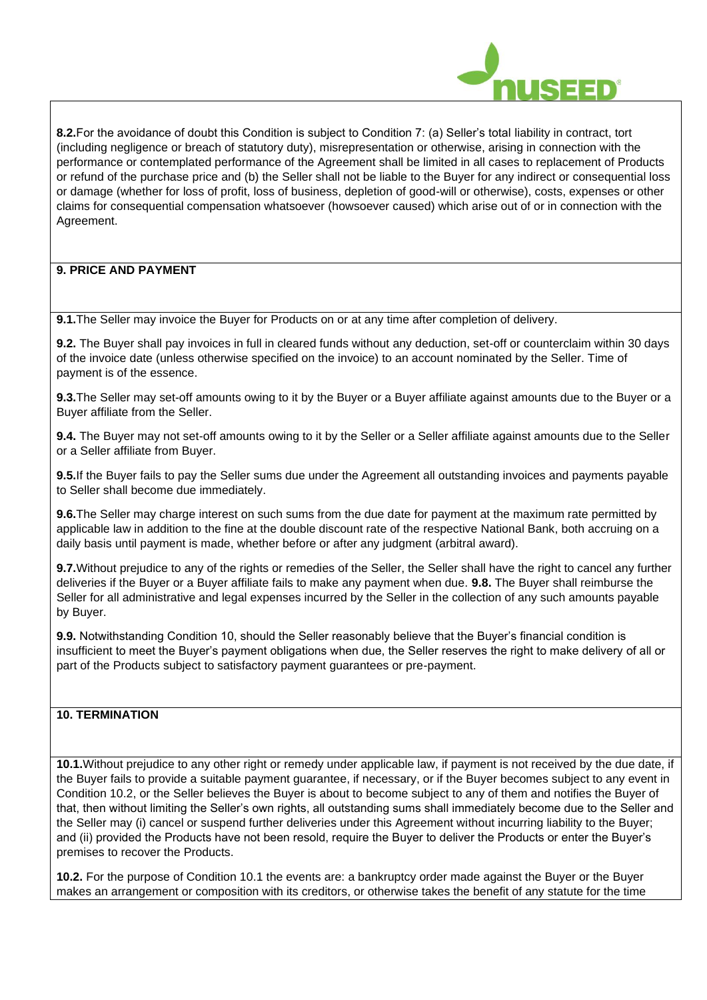

**8.2.**For the avoidance of doubt this Condition is subject to Condition 7: (a) Seller's total liability in contract, tort (including negligence or breach of statutory duty), misrepresentation or otherwise, arising in connection with the performance or contemplated performance of the Agreement shall be limited in all cases to replacement of Products or refund of the purchase price and (b) the Seller shall not be liable to the Buyer for any indirect or consequential loss or damage (whether for loss of profit, loss of business, depletion of good-will or otherwise), costs, expenses or other claims for consequential compensation whatsoever (howsoever caused) which arise out of or in connection with the Agreement.

# **9. PRICE AND PAYMENT**

**9.1.**The Seller may invoice the Buyer for Products on or at any time after completion of delivery.

**9.2.** The Buyer shall pay invoices in full in cleared funds without any deduction, set-off or counterclaim within 30 days of the invoice date (unless otherwise specified on the invoice) to an account nominated by the Seller. Time of payment is of the essence.

**9.3.**The Seller may set-off amounts owing to it by the Buyer or a Buyer affiliate against amounts due to the Buyer or a Buyer affiliate from the Seller.

**9.4.** The Buyer may not set-off amounts owing to it by the Seller or a Seller affiliate against amounts due to the Seller or a Seller affiliate from Buyer.

**9.5.**If the Buyer fails to pay the Seller sums due under the Agreement all outstanding invoices and payments payable to Seller shall become due immediately.

**9.6.**The Seller may charge interest on such sums from the due date for payment at the maximum rate permitted by applicable law in addition to the fine at the double discount rate of the respective National Bank, both accruing on a daily basis until payment is made, whether before or after any judgment (arbitral award).

**9.7.**Without prejudice to any of the rights or remedies of the Seller, the Seller shall have the right to cancel any further deliveries if the Buyer or a Buyer affiliate fails to make any payment when due. **9.8.** The Buyer shall reimburse the Seller for all administrative and legal expenses incurred by the Seller in the collection of any such amounts payable by Buyer.

**9.9.** Notwithstanding Condition 10, should the Seller reasonably believe that the Buyer's financial condition is insufficient to meet the Buyer's payment obligations when due, the Seller reserves the right to make delivery of all or part of the Products subject to satisfactory payment guarantees or pre-payment.

# **10. TERMINATION**

**10.1.**Without prejudice to any other right or remedy under applicable law, if payment is not received by the due date, if the Buyer fails to provide a suitable payment guarantee, if necessary, or if the Buyer becomes subject to any event in Condition 10.2, or the Seller believes the Buyer is about to become subject to any of them and notifies the Buyer of that, then without limiting the Seller's own rights, all outstanding sums shall immediately become due to the Seller and the Seller may (i) cancel or suspend further deliveries under this Agreement without incurring liability to the Buyer; and (ii) provided the Products have not been resold, require the Buyer to deliver the Products or enter the Buyer's premises to recover the Products.

**10.2.** For the purpose of Condition 10.1 the events are: a bankruptcy order made against the Buyer or the Buyer makes an arrangement or composition with its creditors, or otherwise takes the benefit of any statute for the time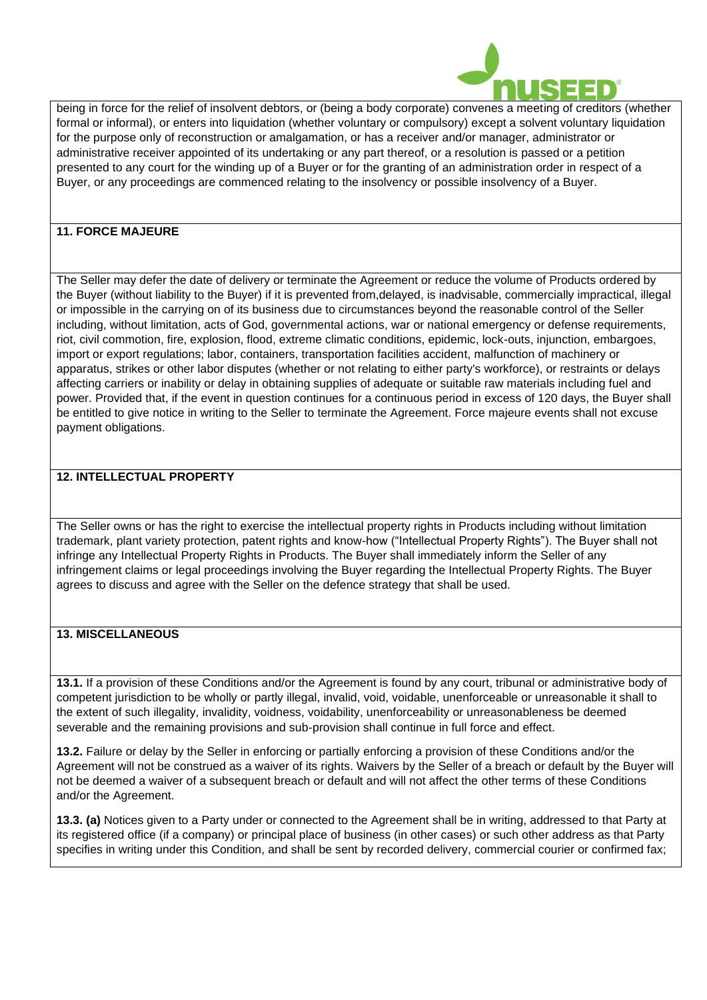

being in force for the relief of insolvent debtors, or (being a body corporate) convenes a meeting of creditors (whether formal or informal), or enters into liquidation (whether voluntary or compulsory) except a solvent voluntary liquidation for the purpose only of reconstruction or amalgamation, or has a receiver and/or manager, administrator or administrative receiver appointed of its undertaking or any part thereof, or a resolution is passed or a petition presented to any court for the winding up of a Buyer or for the granting of an administration order in respect of a Buyer, or any proceedings are commenced relating to the insolvency or possible insolvency of a Buyer.

### **11. FORCE MAJEURE**

The Seller may defer the date of delivery or terminate the Agreement or reduce the volume of Products ordered by the Buyer (without liability to the Buyer) if it is prevented from,delayed, is inadvisable, commercially impractical, illegal or impossible in the carrying on of its business due to circumstances beyond the reasonable control of the Seller including, without limitation, acts of God, governmental actions, war or national emergency or defense requirements, riot, civil commotion, fire, explosion, flood, extreme climatic conditions, epidemic, lock-outs, injunction, embargoes, import or export regulations; labor, containers, transportation facilities accident, malfunction of machinery or apparatus, strikes or other labor disputes (whether or not relating to either party's workforce), or restraints or delays affecting carriers or inability or delay in obtaining supplies of adequate or suitable raw materials including fuel and power. Provided that, if the event in question continues for a continuous period in excess of 120 days, the Buyer shall be entitled to give notice in writing to the Seller to terminate the Agreement. Force majeure events shall not excuse payment obligations.

# **12. INTELLECTUAL PROPERTY**

The Seller owns or has the right to exercise the intellectual property rights in Products including without limitation trademark, plant variety protection, patent rights and know-how ("Intellectual Property Rights"). The Buyer shall not infringe any Intellectual Property Rights in Products. The Buyer shall immediately inform the Seller of any infringement claims or legal proceedings involving the Buyer regarding the Intellectual Property Rights. The Buyer agrees to discuss and agree with the Seller on the defence strategy that shall be used.

### **13. MISCELLANEOUS**

**13.1.** If a provision of these Conditions and/or the Agreement is found by any court, tribunal or administrative body of competent jurisdiction to be wholly or partly illegal, invalid, void, voidable, unenforceable or unreasonable it shall to the extent of such illegality, invalidity, voidness, voidability, unenforceability or unreasonableness be deemed severable and the remaining provisions and sub-provision shall continue in full force and effect.

**13.2.** Failure or delay by the Seller in enforcing or partially enforcing a provision of these Conditions and/or the Agreement will not be construed as a waiver of its rights. Waivers by the Seller of a breach or default by the Buyer will not be deemed a waiver of a subsequent breach or default and will not affect the other terms of these Conditions and/or the Agreement.

**13.3. (a)** Notices given to a Party under or connected to the Agreement shall be in writing, addressed to that Party at its registered office (if a company) or principal place of business (in other cases) or such other address as that Party specifies in writing under this Condition, and shall be sent by recorded delivery, commercial courier or confirmed fax;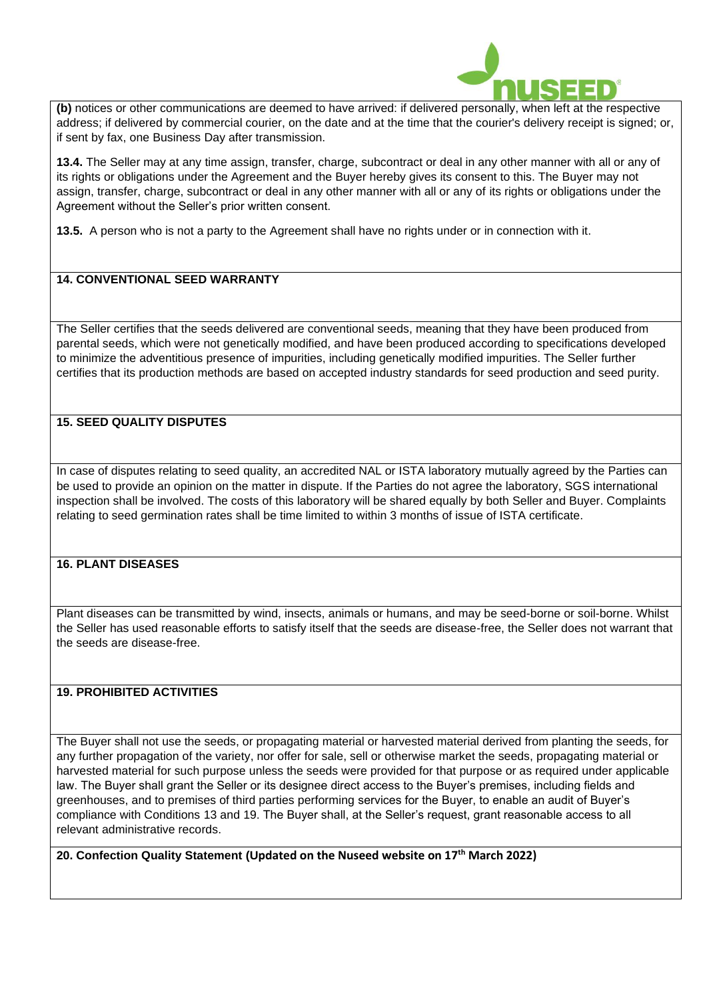

**(b)** notices or other communications are deemed to have arrived: if delivered personally, when left at the respective address; if delivered by commercial courier, on the date and at the time that the courier's delivery receipt is signed; or, if sent by fax, one Business Day after transmission.

**13.4.** The Seller may at any time assign, transfer, charge, subcontract or deal in any other manner with all or any of its rights or obligations under the Agreement and the Buyer hereby gives its consent to this. The Buyer may not assign, transfer, charge, subcontract or deal in any other manner with all or any of its rights or obligations under the Agreement without the Seller's prior written consent.

**13.5.** A person who is not a party to the Agreement shall have no rights under or in connection with it.

# **14. CONVENTIONAL SEED WARRANTY**

The Seller certifies that the seeds delivered are conventional seeds, meaning that they have been produced from parental seeds, which were not genetically modified, and have been produced according to specifications developed to minimize the adventitious presence of impurities, including genetically modified impurities. The Seller further certifies that its production methods are based on accepted industry standards for seed production and seed purity.

# **15. SEED QUALITY DISPUTES**

In case of disputes relating to seed quality, an accredited NAL or ISTA laboratory mutually agreed by the Parties can be used to provide an opinion on the matter in dispute. If the Parties do not agree the laboratory, SGS international inspection shall be involved. The costs of this laboratory will be shared equally by both Seller and Buyer. Complaints relating to seed germination rates shall be time limited to within 3 months of issue of ISTA certificate.

#### **16. PLANT DISEASES**

Plant diseases can be transmitted by wind, insects, animals or humans, and may be seed-borne or soil-borne. Whilst the Seller has used reasonable efforts to satisfy itself that the seeds are disease-free, the Seller does not warrant that the seeds are disease-free.

#### **19. PROHIBITED ACTIVITIES**

The Buyer shall not use the seeds, or propagating material or harvested material derived from planting the seeds, for any further propagation of the variety, nor offer for sale, sell or otherwise market the seeds, propagating material or harvested material for such purpose unless the seeds were provided for that purpose or as required under applicable law. The Buyer shall grant the Seller or its designee direct access to the Buyer's premises, including fields and greenhouses, and to premises of third parties performing services for the Buyer, to enable an audit of Buyer's compliance with Conditions 13 and 19. The Buyer shall, at the Seller's request, grant reasonable access to all relevant administrative records.

**20. Confection Quality Statement (Updated on the Nuseed website on 17th March 2022)**